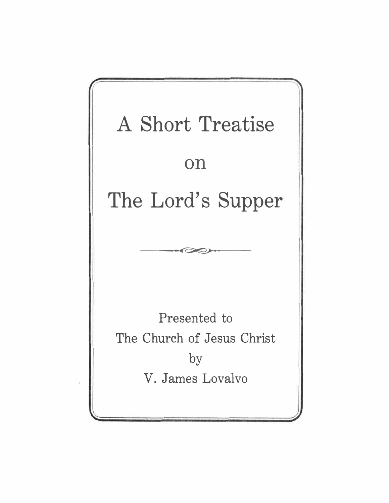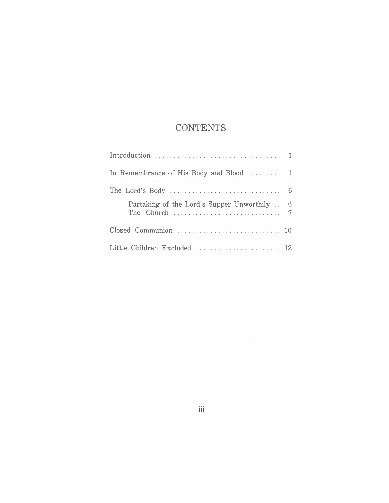# **CONTENTS**

| In Remembrance of His Body and Blood  1                                                               |  |
|-------------------------------------------------------------------------------------------------------|--|
| The Lord's Body $\dots \dots \dots \dots \dots \dots \dots \dots \dots \dots \dots \dots \dots \dots$ |  |
| Partaking of the Lord's Supper Unworthily . 6                                                         |  |
|                                                                                                       |  |
| Little Children Excluded  12                                                                          |  |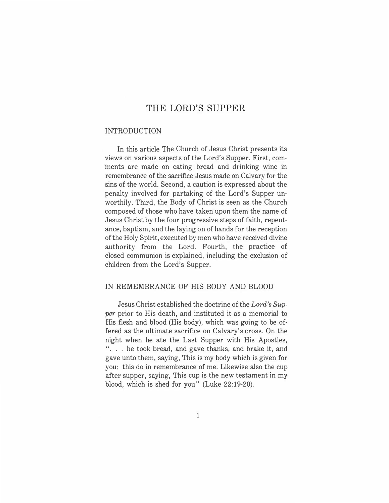# THE LORD'S SUPPER

#### INTRODUCTION

In this article The Church of Jesus Christ presents its views on various aspects of the Lord's Supper. First, comments are made on eating bread and drinking wine in remembrance of the sacrifice Jesus made on Calvary for the sins of the world. Second, a caution is expressed about the penalty involved for partaking of the Lord's Supper unworthily. Third, the Body of Christ is seen as the Church composed of those who have taken upon them the name of Jesus Christ by the four progressive steps of faith, repentance, baptism, and the laying on of hands for the reception of the Holy Spirit, executed by men who have received divine authority from the Lord. Fourth, the practice of closed communion is explained, including the exclusion of children from the Lord's Supper.

# IN REMEMBRANCE OF HIS BODY AND BLOOD

Jesus Christ established the doctrine of the *Lord's Supper* prior to His death, and instituted it as a memorial to His flesh and blood (His body), which was going to be offered as the ultimate sacrifice on Calvary's cross. On the night when he ate the Last Supper with His Apostles, ". . . he took bread, and gave thanks, and brake it, and gave unto them, saying, This is my body which is given for you: this do in remembrance of me. Likewise also the cup after supper, saying, This cup is the new testament in my blood, which is shed for you" (Luke 22:19-20).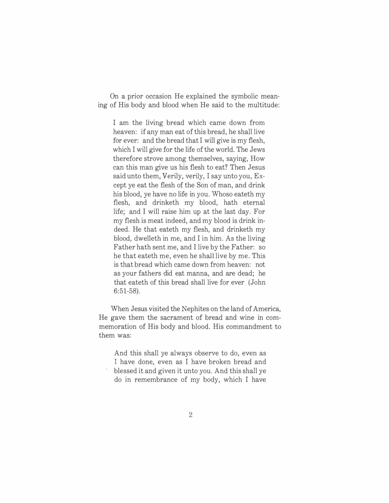On a prior occasion He explained the symbolic meaning of His body and blood when He said to the multitude:

I am the living bread which came down from heaven: if any man eat of this bread, he shall live for ever: and the bread that I will give is my flesh, which I will give for the life of the world. The Jews therefore strove among themselves, saying, How can this man give us his flesh to eat? Then Jesus said unto them, Verily, verily, I say unto you, Except ye eat the flesh of the Son of man, and drink his blood, ye have no life in you. Whoso eateth my flesh, and drinketh my blood, hath eternal life; and I will raise him up at the last day. For my flesh is meat indeed, and my blood is drink indeed. He that eateth my flesh, and drinketh my blood, dwelleth in me, and I in him. As the living Father hath sent me, and I live by the Father: so he that eateth me, even he shall live by me. This is that bread which came down from heaven: not as your fathers did eat manna, and are dead; he that eateth of this bread shall live for ever (John 6:51-58).

When Jesus visited the Nephites on the land of America, He gave them the sacrament of bread and wine in commemoration of His body and blood. His commandment to them was:

And this shall ye always observe to do, even as I have done, even as I have broken bread and blessed it and given it unto you. And this shall ye do in remembrance of my body, which I have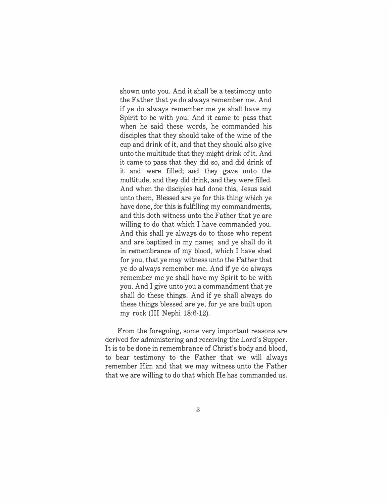shown unto you. And it shall be a testimony unto the Father that ye do always remember me. And if ye do always remember me ye shall have my Spirit to be with you. And it came to pass that when he said these words, he commanded his disciples that they should take of the wine of the cup and drink of it, and that they should also give unto the multitude that they might drink of it. And it came to pass that they did so, and did drink of it and were filled; and they gave unto the multitude, and they did drink, and they were filled. And when the disciples had done this, Jesus said unto them, Blessed are ye for this thing which ye have done, for this is fulfilling my commandments, and this doth witness unto the Father that ye are willing to do that which I have commanded you. And this shall ye always do to those who repent and are baptized in my name; and ye shall do it in remembrance of my blood, which I have shed for you, that ye may witness unto the Father that ye do always remember me. And if ye do always remember me ye shall have my Spirit to be with you. And I give unto you a commandment that ye shall do these things. And if ye shall always do these things blessed are ye, for ye are built upon my rock (III Nephi 18:6-12).

From the foregoing, some very important reasons are derived for administering and receiving the Lord's Supper. It is to be done in remembrance of Christ's body and blood, to bear testimony to the Father that we will always remember Him and that we may witness unto the Father that we are willing to do that which He has commanded us.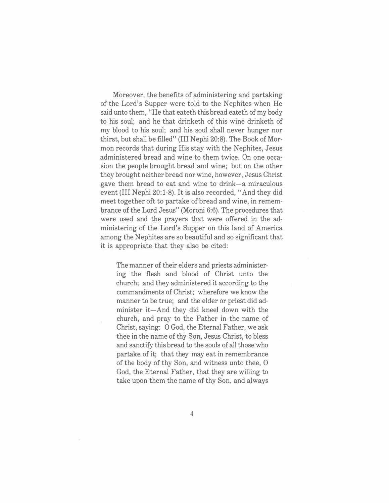Moreover, the benefits of administering and partaking of the Lord's Supper were told to the Nephites when He said unto them, "He that eateth this bread eateth of my body to his soul; and he that drinketh of this wine drinketh of my blood to his soul; and his soul shall never hunger nor thirst, but shall be filled" (III Nephi 20:8). The Book of Mormon records that during His stay with the Nephites, Jesus administered bread and wine to them twice. On one occasion the people brought bread and wine; but on the other they brought neither bread nor wine, however, Jesus Christ gave them bread to eat and wine to drink-a miraculous event (III Nephi 20:1-8). It is also recorded, "And they did meet together oft to partake of bread and wine, in remembrance of the Lord Jesus" (Moroni 6:6). The procedures that were used and the prayers that were offered in the administering of the Lord's Supper on this land of America among the Nephites are so beautiful and so significant that it is appropriate that they also be cited:

The manner of their elders and priests administering the flesh and blood of Christ unto the church; and they administered it according to the commandments of Christ; wherefore we know the manner to be true; and the elder or priest did administer it-And they did kneel down with the church, and pray to the Father in the name of Christ, saying: 0 God, the Eternal Father, we ask thee in the name of thy Son, Jesus Christ, to bless and sanctify this bread to the souls of all those who partake of it; that they may eat in remembrance of the body of thy Son, and witness unto thee, 0 God, the Eternal Father, that they are willing to take upon them the name of thy Son, and always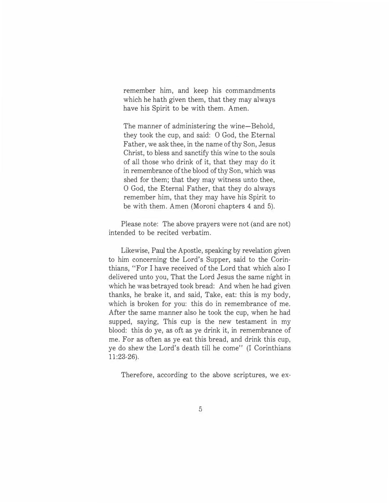remember him, and keep his commandments which he hath given them, that they may always have his Spirit to be with them. Amen.

The manner of administering the wine-Behold, they took the cup, and said: 0 God, the Eternal Father, we ask thee, in the name of thy Son, Jesus Christ, to bless and sanctify this wine to the souls of all those who drink of it, that they may do it in remembrance of the blood of thy Son, which was shed for them; that they may witness unto thee, 0 God, the Eternal Father, that they do always remember him, that they may have his Spirit to be with them. Amen (Moroni chapters 4 and 5).

Please note: The above prayers were not (and are not) intended to be recited verbatim.

Likewise, Paul the Apostle, speaking by revelation given to him concerning the Lord's Supper, said to the Corinthians, "For I have received of the Lord that which also I delivered unto you, That the Lord Jesus the same night in which he was betrayed took bread: And when he had given thanks, he brake it, and said, Take, eat: this is my body, which is broken for you: this do in remembrance of me. After the same manner also he took the cup, when he had supped, saying, This cup is the new testament in my blood: this do ye, as oft as ye drink it, in remembrance of me. For as often as ye eat this bread, and drink this cup, ye do shew the Lord's death till he come" (I Corinthians 11:23-26).

Therefore, according to the above scriptures, we ex-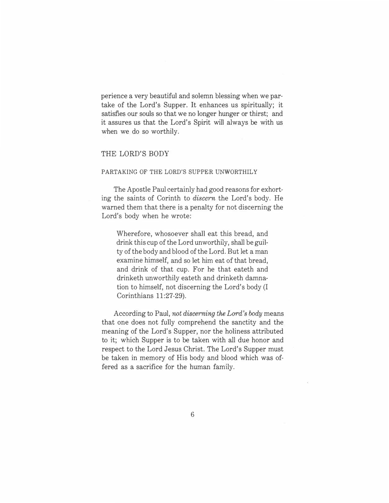perience a very beautiful and solemn blessing when we partake of the Lord's Supper. It enhances us spiritually; it satisfies our souls so that we no longer hunger or thirst; and it assures us that the Lord's Spirit will always be with us when we do so worthily.

### THE LORD'S BODY

#### PARTAKING OF THE LORD'S SUPPER UNWORTHILY

The Apostle Paul certainly had good reasons for exhorting the saints of Corinth to *discern* the Lord's body. He warned them that there is a penalty for not discerning the Lord's body when he wrote:

Wherefore, whosoever shall eat this bread, and drink this cup of the Lord unworthily, shall be guilty of the body and blood of the Lord. But let a man examine himself, and so let him eat of that bread, and drink of that cup. For he that eateth and drinketh unworthily eateth and drinketh damnation to himself, not discerning the Lord's body (I Corinthians 11:27-29).

According to Paul, *not discerning the Lord's body* means that one does not fully comprehend the sanctity and the meaning of the Lord's Supper, nor the holiness attributed to it; which Supper is to be taken with all due honor and respect to the Lord Jesus Christ. The Lord's Supper must be taken in memory of His body and blood which was offered as a sacrifice for the human family.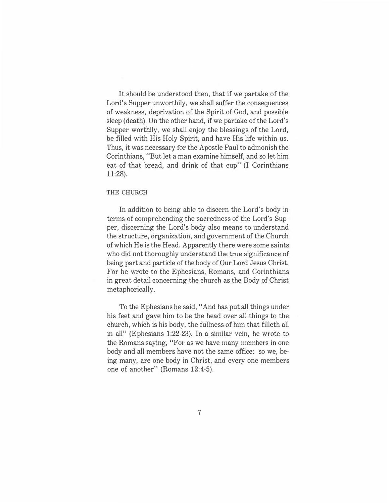It should be understood then, that if we partake of the Lord's Supper unworthily, we shall suffer the consequences of weakness, deprivation of the Spirit of God, and possible sleep (death). On the other hand, if we partake of the Lord's Supper worthily, we shall enjoy the blessings of the Lord, be filled with His Holy Spirit, and have His life within us. Thus, it was necessary for the Apostle Paul to admonish the Corinthians, "But let a man examine himself, and so let him eat of that bread, and drink of that cup" (I Corinthians 11:28).

#### THE CHURCH

In addition to being able to discern the Lord's body in terms of comprehending the sacredness of the Lord's Supper, discerning the Lord's body also means to understand the structure, organization, and government of the Church of which He is the Head. Apparently there were some saints who did not thoroughly understand the true significance of being part and particle of the body of Our Lord Jesus Christ. For he wrote to the Ephesians, Romans, and Corinthians in great detail concerning the church as the Body of Christ metaphorically.

To the Ephesians he said, "And has put all things under his feet and gave him to be the head over all things to the church, which is his body, the fullness of him that filleth all in all" (Ephesians 1:22-23). In a similar vein, he wrote to the Romans saying, "For as we have many members in one body and all members have not the same office: so we, being many, are one body in Christ, and every one members one of another" (Romans 12:4-5).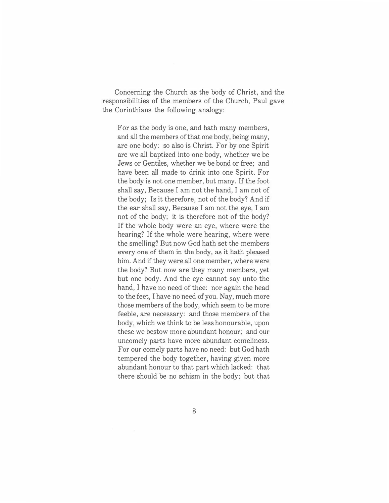Concerning the Church as the body of Christ, and the responsibilities of the members of the Church, Paul gave the Corinthians the following analogy:

For as the body is one, and hath many members, and all the members of that one body, being many, are one body: so also is Christ. For by one Spirit are we all baptized into one body, whether we be Jews or Gentiles, whether we be bond or free; and have been all made to drink into one Spirit. For the body is not one member, but many. If the foot shall say, Because I am not the hand, I am not of the body; Is it therefore, not of the body? And if the ear shall say, Because I am not the eye, I am not of the body; it is therefore not of the body? If the whole body were an eye, where were the hearing? If the whole were hearing, where were the smelling? But now God hath set the members every one of them in the body, as it hath pleased him. And if they were all one member, where were the body? But now are they many members, yet but one body. And the eye cannot say unto the hand, I have no need of thee: nor again the head to the feet, I have no need of you. Nay, much more those members of the body, which seem to be more feeble, are necessary: and those members of the body, which we think to be less honourable, upon these we bestow more abundant honour; and our uncomely parts have more abundant comeliness. For our comely parts have no need: but God hath tempered the body together, having given more abundant honour to that part which lacked: that there should be no schism in the body; but that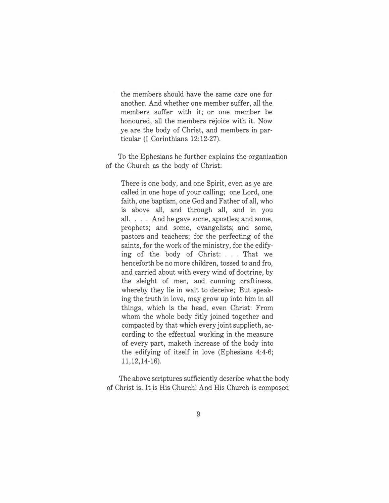the members should have the same care one for another. And whether one member suffer, all the members suffer with it; or one member be honoured, all the members rejoice with it. Now ye are the body of Christ, and members in particular (I Corinthians 12:12-27).

To the Ephesians he further explains the organization of the Church as the body of Christ:

There is one body, and one Spirit, even as ye are called in one hope of your calling; one Lord, one faith, one baptism, one God and Father of all, who is above all, and through all, and in you all. . . . And he gave some, apostles; and some, prophets; and some, evangelists; and some, pastors and teachers; for the perfecting of the saints, for the work of the ministry, for the edifying of the body of Christ: . . . That we henceforth be no more children, tossed to and fro, and carried about with every wind of doctrine, by the sleight of men, and cunning craftiness, whereby they lie in wait to deceive; But speaking the truth in love, may grow up into him in all things, which is the head, even Christ: From whom the whole body fitly joined together and compacted by that which every joint supplieth, according to the effectual working in the measure of every part, maketh increase of the body into the edifying of itself in love (Ephesians 4:4-6; 11,12,14-16).

The above scriptures sufficiently describe what the body of Christ is. It is His Church! And His Church is composed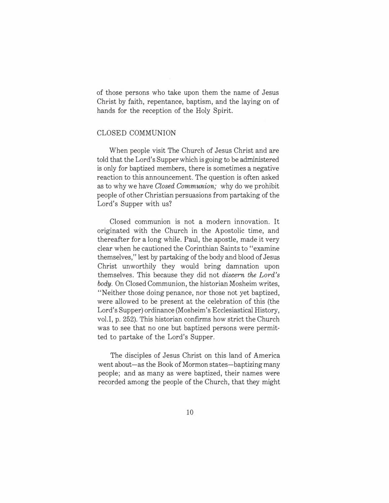of those persons who take upon them the name of Jesus Christ by faith, repentance, baptism, and the laying on of hands for the reception of the Holy Spirit.

## CLOSED COMMUNION

When people visit The Church of Jesus Christ and are told that the Lord's Supper which is going to be administered is only for baptized members, there is sometimes a negative reaction to this announcement. The question is often asked as to why we have *Closed Communion;* why do we prohibit people of other Christian persuasions from partaking of the Lord's Supper with us?

Closed communion is not a modern innovation. It originated with the Church in the Apostolic time, and thereafter for a long while. Paul, the apostle, made it very clear when he cautioned the Corinthian Saints to "examine themselves," lest by partaking of the body and blood of Jesus Christ unworthily they would bring damnation upon themselves. This because they did not *discern the Lord's body.* On Closed Communion, the historian Mosheim writes, "Neither those doing penance, nor those not yet baptized, were allowed to be present at the celebration of this (the Lord's Supper) ordinance (Mosheim's Ecclesiastical History, vol.I, p. 252). This historian confirms how strict the Church was to see that no one but baptized persons were permitted to partake of the Lord's Supper.

The disciples of Jesus Christ on this land of America went about-as the Book of Mormon states-baptizing many people; and as many as were baptized, their names were recorded among the people of the Church, that they might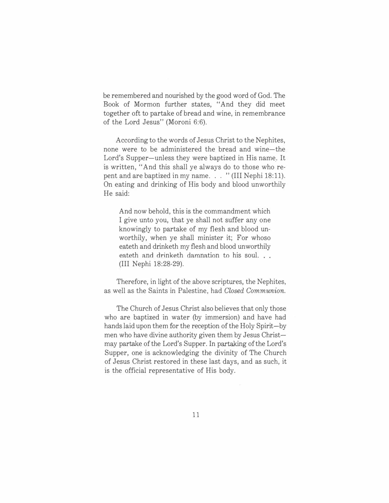be remembered and nourished by the good word of God. The Book of Mormon further states, "And they did meet together oft to partake of bread and wine, in remembrance of the Lord Jesus" (Moroni 6:6).

According to the words of Jesus Christ to the Nephites, none were to be administered the bread and wine-the Lord's Supper-unless they were baptized in His name. It is written, "And this shall ye always do to those who repent and are baptized in my name. . . " (III Nephi 18:11). On eating and drinking of His body and blood unworthily He said:

And now behold, this is the commandment which I give unto you, that ye shall not suffer any one knowingly to partake of my flesh and blood unworthily, when ye shall minister it; For whoso eateth and drinketh my flesh and blood unworthily eateth and drinketh damnation to his soul. (III Nephi 18:28-29).

Therefore, in light of the above scriptures, the Nephites, as well as the Saints in Palestine, had *Closed Communion.* 

The Church of Jesus Christ also believes that only those who are baptized in water (by immersion) and have had hands laid upon them for the reception of the Holy Spirit-by men who have divine authority given them by Jesus Christmay partake of the Lord's Supper. In partaking of the Lord's Supper, one is acknowledging the divinity of The Church of Jesus Christ restored in these last days, and as such, it is the official representative of His body.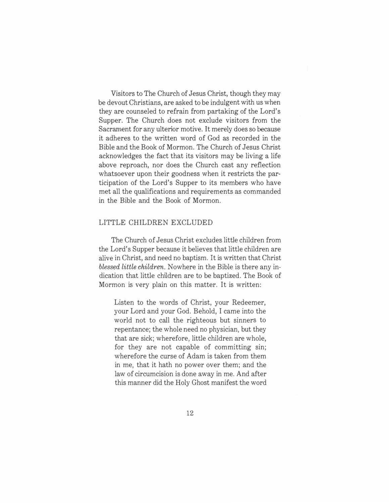Visitors to The Church of Jesus Christ, though they may be devout Christians, are asked to be indulgent with us when they are counseled to refrain from partaking of the Lord's Supper. The Church does not exclude visitors from the Sacrament for any ulterior motive. It merely does so because it adheres to the written word of God as recorded in the Bible and the Book of Mormon. The Church of Jesus Christ acknowledges the fact that its visitors may be living a life above reproach, nor does the Church cast any reflection whatsoever upon their goodness when it restricts the participation of the Lord's Supper to its members who have met all the qualifications and requirements as commanded in the Bible and the Book of Mormon.

#### LITTLE CHILDREN EXCLUDED

The Church of Jesus Christ excludes little children from the Lord's Supper because it believes that little children are alive in Christ, and need no baptism. It is written that Christ *blessed little children.* Nowhere in the Bible is there any indication that little children are to be baptized. The Book of Mormon is very plain on this matter. It is written:

Listen to the words of Christ, your Redeemer, your Lord and your God. Behold, I came into the world not to call the righteous but sinners to repentance; the whole need no physician, but they that are sick; wherefore, little children are whole, for they are not capable of committing sin; wherefore the curse of Adam is taken from them in me, that it hath no power over them; and the law of circumcision is done away in me. And after this manner did the Holy Ghost manifest the word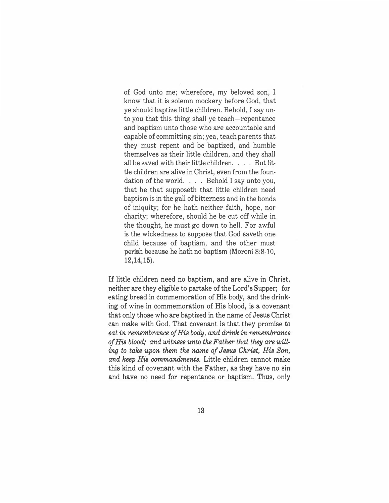of God unto me; wherefore, my beloved son, I know that it is solemn mockery before God, that ye should baptize little children. Behold, I say unto you that this thing shall ye teach-repentance and baptism unto those who are accountable and capable of committing sin; yea, teach parents that they must repent and be baptized, and humble themselves as their little children, and they shall all be saved with their little children. . . . But little children are alive in Christ, even from the foundation of the world. . . . Behold I say unto you, that he that supposeth that little children need baptism is in the gall of bitterness and in the bonds of iniquity; for he hath neither faith, hope, nor charity; wherefore, should he be cut off while in the thought, he must go down to hell. For awful is the wickedness to suppose that God saveth one child because of baptism, and the other must perish because he hath no baptism (Moroni 8:8-10, 12,14,15).

If little children need no baptism, and are alive in Christ, neither are they eligible to partake of the Lord's Supper; for eating bread in commemoration of His body, and the drinking of wine in commemoration of His blood, is a covenant that only those who are baptized in the name of Jesus Christ can make with God. That covenant is that they promise to *eat in remembrance of His body, and drink in remembrance of His blood,· and witness unto the Father that they are willing to take upon them the name of Jesus Christ, His Son, and keep His commandments.* Little children cannot make this kind of covenant with the Father, as they have no sin and have no need for repentance or baptism. Thus, only